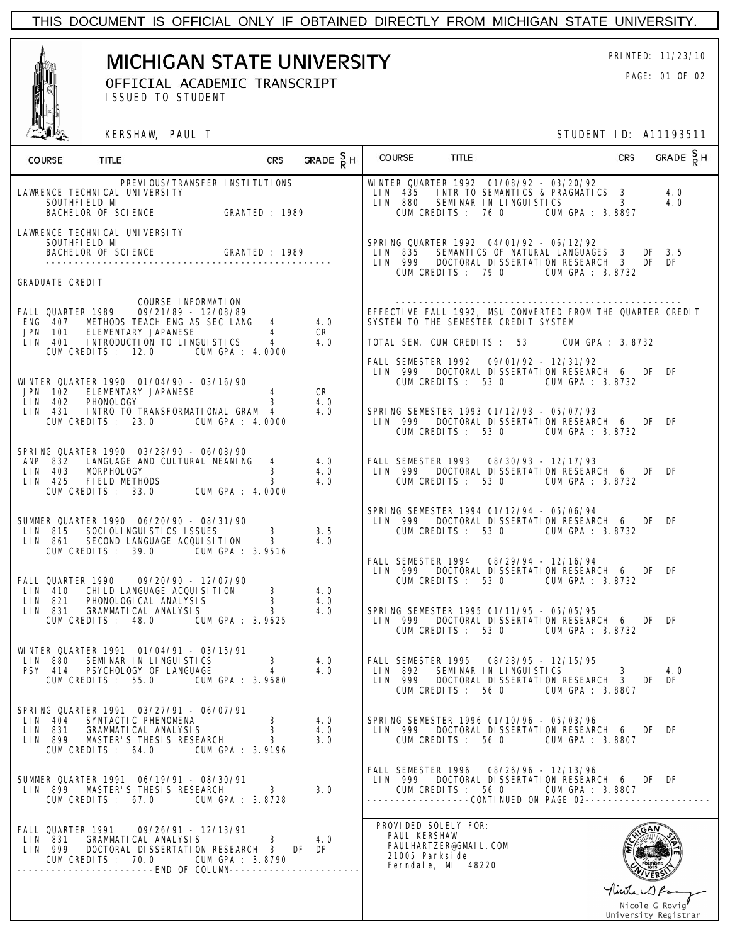

**MICHIGAN STATE UNIVERSITY** PRINTED: 11/23/10

OFFICIAL ACADEMIC TRANSCRIPT **EXAMPLE 2011** PAGE: 01 OF 02 ISSUED TO STUDENT

KERSHAW, PAUL T STUDENT ID: A11193511

| WINTER QUARTER 1992 01/08/92 - 03/20/92<br>PREVIOUS/TRANSFER INSTITUTIONS<br>LIN 435 INTR TO SEMANTICS & PRAGMATICS 3<br>LAWRENCE TECHNI CAL UNI VERSI TY<br>4.0<br>ENCE TECHNICAL UNIVERSITY<br>SOUTHFIELD MI<br>BACHELOR OF SCIENCE              GRANTED : 1989<br>LIN 880 SEMINAR IN LINGUISTICS 3<br>4.0<br>CUM GPA : 3.8897<br>CUM CREDITS: 76.0<br>LAWRENCE TECHNICAL UNIVERSITY<br>SPRING QUARTER 1992 04/01/92 - 06/12/92<br>SOUTHFIELD MI<br>BACHELOR OF SCIENCE GRANTED : 1989<br>LIN 835 SEMANTICS OF NATURAL LANGUAGES 3 DF 3.5<br>LIN 999 DOCTORAL DISSERTATION RESEARCH 3 DF DF<br>CUM CREDITS : 79.0 CUM GPA : 3.8732<br><b>GRADUATE CREDIT</b><br>COURSE INFORMATION<br>FALL QUARTER 1989 09/21/89 - 12/08/89<br>EFFECTIVE FALL 1992, MSU CONVERTED FROM THE QUARTER CREDIT<br>ENG 407 METHODS TEACH ENG AS SEC LANG 4<br>4.0<br>SYSTEM TO THE SEMESTER CREDIT SYSTEM<br>JPN 101 ELEMENTARY JAPANESE<br>CR -<br>$\overline{4}$<br>LIN 401 INTRODUCTION TO LINGUISTICS<br>4.0<br>TOTAL SEM. CUM CREDITS: 53 CUM GPA: 3.8732<br>CUM CREDITS : 12.0 CUM GPA : 4.0000<br>FALL SEMESTER 1992  09/01/92 - 12/31/92<br>LIN 999 DOCTORAL DISSERTATION RESEARCH 6 DF DF<br>WINTER QUARTER 1990  01/04/90 - 03/16/90<br>CUM CREDITS : 53.0 CUM GPA : 3.8732<br>CR<br>JPN 102 ELEMENTARY JAPANESE<br>LIN 402 PHONOLOGY<br>$4 \quad$<br>LIN 402 PHONOLOGY<br>4.0<br>LIN 431 INTRO TO TRANSFORMATIONAL GRAM 4<br>4.0<br>SPRING SEMESTER 1993 01/12/93 - 05/07/93<br>LIN 999 DOCTORAL DISSERTATION RESEARCH 6 DF DF<br>CUM CREDITS: 23.0 CUM GPA: 4.0000<br>CUM CREDITS: 53.0 CUM GPA: 3.8732<br>SPRING QUARTER 1990 03/28/90 - 06/08/90<br>ANP 832 LANGUAGE AND CULTURAL MEANING 4<br>4.0<br>FALL SEMESTER 1993  08/30/93 - 12/17/93<br>LIN 403 MORPHOLOGY 3<br>LIN 425 FIELDMETHODS 3<br>CUM CREDITS: 33.0 CUM GPA: 4.0000<br>4.0<br>LIN 999 DOCTORAL DISSERTATION RESEARCH 6 DF DF<br>4.0<br>CUM CREDITS: 53.0 CUM GPA: 3.8732<br>SPRING SEMESTER 1994 01/12/94 - 05/06/94<br>SUMMER QUARTER 1990  06/20/90 - 08/31/90<br>LIN 999 DOCTORAL DISSERTATION RESEARCH 6 DF DF<br>LIN 815 SOCIOLINGUISTICS ISSUES<br>3.5<br>CUM CREDITS: 53.0 CUM GPA: 3.8732<br>SECOND LANGUAGE ACQUISITION 3<br>LIN 861<br>4.0<br>CUM CREDITS: 39.0 CUM GPA: 3.9516<br>FALL SEMESTER 1994  08/29/94 - 12/16/94<br>LIN 999 DOCTORAL DISSERTATION RESEARCH 6 DF DF<br>FALL QUARTER 1990   09/20/90 - 12/07/90<br>CUM CREDITS: 53.0 CUM GPA: 3.8732<br>LIN 410 CHILD LANGUAGE ACQUISITION<br>LIN 821 PHONOLOGICAL ANALYSIS<br>LIN 831 GRAMMATICAL ANALYSIS<br>$\mathbf{3}$<br>4.0<br>4.0<br>SPRING SEMESTER 1995 01/11/95 - 05/05/95<br>4.0<br>3<br>LIN 999 DOCTORAL DISSERTATION RESEARCH 6 DF DF<br>CUM CREDITS: 48.0 CUM GPA: 3.9625<br>CUM CREDITS : 53.0 CUM GPA : 3.8732<br>WINTER QUARTER 1991 01/04/91 - 03/15/91<br>LIN 880 SEMINAR IN LINGUISTICS<br>PSY 414 PSYCHOLOGY OF LANGUAGE 4<br>4.0<br>3 <sup>7</sup><br>4.0<br>4.0<br>LIN 999 DOCTORAL DISSERTATION RESEARCH 3<br>CUM CREDITS : 55.0 CUM GPA : 3.9680<br>$DF$ $DF$<br>CUM CREDITS : 56.0 CUM GPA : 3.8807<br>SPRING QUARTER 1991 03/27/91 - 06/07/91<br>LIN 404 SYNTACTIC PHENOMENA<br>LIN 831 GRAMMATICAL ANALYSIS<br>3<br>4.0<br>SPRING SEMESTER 1996 01/10/96 - 05/03/96<br>LIN 999 DOCTORAL DISSERTATION RESEARCH 6 DF DF<br>3<br>4.0<br>LIN 899 MASTER'S THESIS RESEARCH<br>3<br>3.0<br>CUM CREDITS: 56.0 CUM GPA: 3.8807<br>CUM GPA : 3.9196<br>CUM CREDITS: 64.0<br>FALL SEMESTER 1996 08/26/96 - 12/13/96<br>LIN 999 DOCTORAL DISSERTATION RESEARCH 6 DF DF<br>SUMMER QUARTER 1991  06/19/91 - 08/30/91<br>LIN 899 MASTER'S THESIS RESEARCH<br>$3^{\circ}$<br>3.0<br>CUM CREDITS: 56.0 CUM GPA: 3.8807<br>-----------------CONTINUED ON PAGE 02------------<br>CUM CREDITS: 67.0 CUM GPA: 3.8728<br>PROVIDED SOLELY FOR:<br>FALL QUARTER 1991  09/26/91 - 12/13/91<br>PAUL KERSHAW<br>LIN 831 GRAMMATICAL ANALYSIS 3<br>4.0<br>PAULHARTZER@GMAIL.COM<br>LIN 999 DOCTORAL DISSERTATION RESEARCH 3 DF DF<br>21005 Parkside<br>CUM CREDITS: 70.0 CUM GPA: 3.8790<br>Ferndale, MI 48220<br>-----------------------END OF COLUMN-----------------<br>Thirte 19 Pr<br>Nicole G Rovig | COURSE TITLE | <b>CRS</b> |  | GRADE ${}_{R}^{S}$ H COURSE TITLE |  | <b>CRS</b> | GRADE $\frac{S}{R}$ H |  |
|------------------------------------------------------------------------------------------------------------------------------------------------------------------------------------------------------------------------------------------------------------------------------------------------------------------------------------------------------------------------------------------------------------------------------------------------------------------------------------------------------------------------------------------------------------------------------------------------------------------------------------------------------------------------------------------------------------------------------------------------------------------------------------------------------------------------------------------------------------------------------------------------------------------------------------------------------------------------------------------------------------------------------------------------------------------------------------------------------------------------------------------------------------------------------------------------------------------------------------------------------------------------------------------------------------------------------------------------------------------------------------------------------------------------------------------------------------------------------------------------------------------------------------------------------------------------------------------------------------------------------------------------------------------------------------------------------------------------------------------------------------------------------------------------------------------------------------------------------------------------------------------------------------------------------------------------------------------------------------------------------------------------------------------------------------------------------------------------------------------------------------------------------------------------------------------------------------------------------------------------------------------------------------------------------------------------------------------------------------------------------------------------------------------------------------------------------------------------------------------------------------------------------------------------------------------------------------------------------------------------------------------------------------------------------------------------------------------------------------------------------------------------------------------------------------------------------------------------------------------------------------------------------------------------------------------------------------------------------------------------------------------------------------------------------------------------------------------------------------------------------------------------------------------------------------------------------------------------------------------------------------------------------------------------------------------------------------------------------------------------------------------------------------------------------------------------------------------------------------------------------------------------------------------------------------------------------------------------------------------------------------------------------------------------------------------------------------------------------------------------------------------------------------------------------------------------------------------------------------------------------------------------------------------------------------------------------------------------------------------------------------------------------------------------------------------------------------------------------------------------------------------|--------------|------------|--|-----------------------------------|--|------------|-----------------------|--|
|                                                                                                                                                                                                                                                                                                                                                                                                                                                                                                                                                                                                                                                                                                                                                                                                                                                                                                                                                                                                                                                                                                                                                                                                                                                                                                                                                                                                                                                                                                                                                                                                                                                                                                                                                                                                                                                                                                                                                                                                                                                                                                                                                                                                                                                                                                                                                                                                                                                                                                                                                                                                                                                                                                                                                                                                                                                                                                                                                                                                                                                                                                                                                                                                                                                                                                                                                                                                                                                                                                                                                                                                                                                                                                                                                                                                                                                                                                                                                                                                                                                                                                                                          |              |            |  |                                   |  |            |                       |  |
|                                                                                                                                                                                                                                                                                                                                                                                                                                                                                                                                                                                                                                                                                                                                                                                                                                                                                                                                                                                                                                                                                                                                                                                                                                                                                                                                                                                                                                                                                                                                                                                                                                                                                                                                                                                                                                                                                                                                                                                                                                                                                                                                                                                                                                                                                                                                                                                                                                                                                                                                                                                                                                                                                                                                                                                                                                                                                                                                                                                                                                                                                                                                                                                                                                                                                                                                                                                                                                                                                                                                                                                                                                                                                                                                                                                                                                                                                                                                                                                                                                                                                                                                          |              |            |  |                                   |  |            |                       |  |
|                                                                                                                                                                                                                                                                                                                                                                                                                                                                                                                                                                                                                                                                                                                                                                                                                                                                                                                                                                                                                                                                                                                                                                                                                                                                                                                                                                                                                                                                                                                                                                                                                                                                                                                                                                                                                                                                                                                                                                                                                                                                                                                                                                                                                                                                                                                                                                                                                                                                                                                                                                                                                                                                                                                                                                                                                                                                                                                                                                                                                                                                                                                                                                                                                                                                                                                                                                                                                                                                                                                                                                                                                                                                                                                                                                                                                                                                                                                                                                                                                                                                                                                                          |              |            |  |                                   |  |            |                       |  |
|                                                                                                                                                                                                                                                                                                                                                                                                                                                                                                                                                                                                                                                                                                                                                                                                                                                                                                                                                                                                                                                                                                                                                                                                                                                                                                                                                                                                                                                                                                                                                                                                                                                                                                                                                                                                                                                                                                                                                                                                                                                                                                                                                                                                                                                                                                                                                                                                                                                                                                                                                                                                                                                                                                                                                                                                                                                                                                                                                                                                                                                                                                                                                                                                                                                                                                                                                                                                                                                                                                                                                                                                                                                                                                                                                                                                                                                                                                                                                                                                                                                                                                                                          |              |            |  |                                   |  |            |                       |  |
|                                                                                                                                                                                                                                                                                                                                                                                                                                                                                                                                                                                                                                                                                                                                                                                                                                                                                                                                                                                                                                                                                                                                                                                                                                                                                                                                                                                                                                                                                                                                                                                                                                                                                                                                                                                                                                                                                                                                                                                                                                                                                                                                                                                                                                                                                                                                                                                                                                                                                                                                                                                                                                                                                                                                                                                                                                                                                                                                                                                                                                                                                                                                                                                                                                                                                                                                                                                                                                                                                                                                                                                                                                                                                                                                                                                                                                                                                                                                                                                                                                                                                                                                          |              |            |  |                                   |  |            |                       |  |
|                                                                                                                                                                                                                                                                                                                                                                                                                                                                                                                                                                                                                                                                                                                                                                                                                                                                                                                                                                                                                                                                                                                                                                                                                                                                                                                                                                                                                                                                                                                                                                                                                                                                                                                                                                                                                                                                                                                                                                                                                                                                                                                                                                                                                                                                                                                                                                                                                                                                                                                                                                                                                                                                                                                                                                                                                                                                                                                                                                                                                                                                                                                                                                                                                                                                                                                                                                                                                                                                                                                                                                                                                                                                                                                                                                                                                                                                                                                                                                                                                                                                                                                                          |              |            |  |                                   |  |            |                       |  |
|                                                                                                                                                                                                                                                                                                                                                                                                                                                                                                                                                                                                                                                                                                                                                                                                                                                                                                                                                                                                                                                                                                                                                                                                                                                                                                                                                                                                                                                                                                                                                                                                                                                                                                                                                                                                                                                                                                                                                                                                                                                                                                                                                                                                                                                                                                                                                                                                                                                                                                                                                                                                                                                                                                                                                                                                                                                                                                                                                                                                                                                                                                                                                                                                                                                                                                                                                                                                                                                                                                                                                                                                                                                                                                                                                                                                                                                                                                                                                                                                                                                                                                                                          |              |            |  |                                   |  |            |                       |  |
|                                                                                                                                                                                                                                                                                                                                                                                                                                                                                                                                                                                                                                                                                                                                                                                                                                                                                                                                                                                                                                                                                                                                                                                                                                                                                                                                                                                                                                                                                                                                                                                                                                                                                                                                                                                                                                                                                                                                                                                                                                                                                                                                                                                                                                                                                                                                                                                                                                                                                                                                                                                                                                                                                                                                                                                                                                                                                                                                                                                                                                                                                                                                                                                                                                                                                                                                                                                                                                                                                                                                                                                                                                                                                                                                                                                                                                                                                                                                                                                                                                                                                                                                          |              |            |  |                                   |  |            |                       |  |
|                                                                                                                                                                                                                                                                                                                                                                                                                                                                                                                                                                                                                                                                                                                                                                                                                                                                                                                                                                                                                                                                                                                                                                                                                                                                                                                                                                                                                                                                                                                                                                                                                                                                                                                                                                                                                                                                                                                                                                                                                                                                                                                                                                                                                                                                                                                                                                                                                                                                                                                                                                                                                                                                                                                                                                                                                                                                                                                                                                                                                                                                                                                                                                                                                                                                                                                                                                                                                                                                                                                                                                                                                                                                                                                                                                                                                                                                                                                                                                                                                                                                                                                                          |              |            |  |                                   |  |            |                       |  |
|                                                                                                                                                                                                                                                                                                                                                                                                                                                                                                                                                                                                                                                                                                                                                                                                                                                                                                                                                                                                                                                                                                                                                                                                                                                                                                                                                                                                                                                                                                                                                                                                                                                                                                                                                                                                                                                                                                                                                                                                                                                                                                                                                                                                                                                                                                                                                                                                                                                                                                                                                                                                                                                                                                                                                                                                                                                                                                                                                                                                                                                                                                                                                                                                                                                                                                                                                                                                                                                                                                                                                                                                                                                                                                                                                                                                                                                                                                                                                                                                                                                                                                                                          |              |            |  |                                   |  |            |                       |  |
|                                                                                                                                                                                                                                                                                                                                                                                                                                                                                                                                                                                                                                                                                                                                                                                                                                                                                                                                                                                                                                                                                                                                                                                                                                                                                                                                                                                                                                                                                                                                                                                                                                                                                                                                                                                                                                                                                                                                                                                                                                                                                                                                                                                                                                                                                                                                                                                                                                                                                                                                                                                                                                                                                                                                                                                                                                                                                                                                                                                                                                                                                                                                                                                                                                                                                                                                                                                                                                                                                                                                                                                                                                                                                                                                                                                                                                                                                                                                                                                                                                                                                                                                          |              |            |  |                                   |  |            |                       |  |
|                                                                                                                                                                                                                                                                                                                                                                                                                                                                                                                                                                                                                                                                                                                                                                                                                                                                                                                                                                                                                                                                                                                                                                                                                                                                                                                                                                                                                                                                                                                                                                                                                                                                                                                                                                                                                                                                                                                                                                                                                                                                                                                                                                                                                                                                                                                                                                                                                                                                                                                                                                                                                                                                                                                                                                                                                                                                                                                                                                                                                                                                                                                                                                                                                                                                                                                                                                                                                                                                                                                                                                                                                                                                                                                                                                                                                                                                                                                                                                                                                                                                                                                                          |              |            |  |                                   |  |            |                       |  |
|                                                                                                                                                                                                                                                                                                                                                                                                                                                                                                                                                                                                                                                                                                                                                                                                                                                                                                                                                                                                                                                                                                                                                                                                                                                                                                                                                                                                                                                                                                                                                                                                                                                                                                                                                                                                                                                                                                                                                                                                                                                                                                                                                                                                                                                                                                                                                                                                                                                                                                                                                                                                                                                                                                                                                                                                                                                                                                                                                                                                                                                                                                                                                                                                                                                                                                                                                                                                                                                                                                                                                                                                                                                                                                                                                                                                                                                                                                                                                                                                                                                                                                                                          |              |            |  |                                   |  |            |                       |  |
| University Registrar                                                                                                                                                                                                                                                                                                                                                                                                                                                                                                                                                                                                                                                                                                                                                                                                                                                                                                                                                                                                                                                                                                                                                                                                                                                                                                                                                                                                                                                                                                                                                                                                                                                                                                                                                                                                                                                                                                                                                                                                                                                                                                                                                                                                                                                                                                                                                                                                                                                                                                                                                                                                                                                                                                                                                                                                                                                                                                                                                                                                                                                                                                                                                                                                                                                                                                                                                                                                                                                                                                                                                                                                                                                                                                                                                                                                                                                                                                                                                                                                                                                                                                                     |              |            |  |                                   |  |            |                       |  |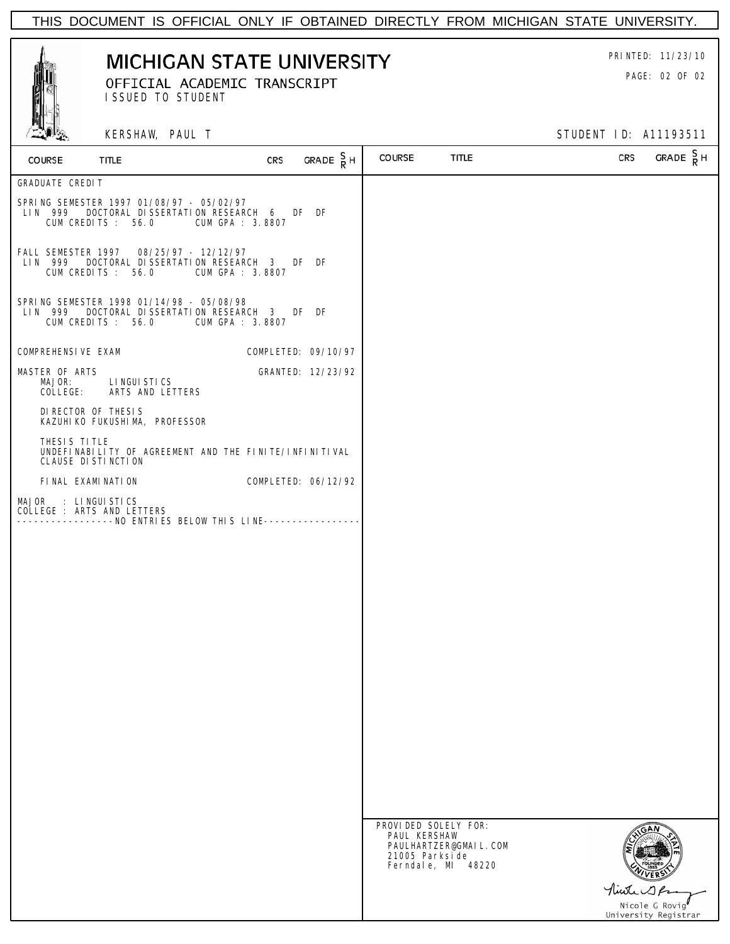

# **MICHIGAN STATE UNIVERSITY** PRINTED: 11/23/10 OFFICIAL ACADEMIC TRANSCRIPT **EXAMPLE 2018** PAGE: 02 OF 02

ISSUED TO STUDENT

KERSHAW, PAUL T STUDENT ID: A11193511

| COURSE                                            | TITLE | <b>CRS</b>                                                                                             | GRADE $\frac{S}{R}$ H | COURSE                                                  | TITLE                                       | CRS         | GRADE $\frac{S}{R}$ H |
|---------------------------------------------------|-------|--------------------------------------------------------------------------------------------------------|-----------------------|---------------------------------------------------------|---------------------------------------------|-------------|-----------------------|
| <b>GRADUATE CREDIT</b>                            |       |                                                                                                        |                       |                                                         |                                             |             |                       |
| LIN 999<br>CUM CREDITS: 56.0                      |       | SPRING SEMESTER 1997 01/08/97 - 05/02/97<br>DOCTORAL DISSERTATION RESEARCH 6 DF DF<br>CUM GPA : 3.8807 |                       |                                                         |                                             |             |                       |
| LIN 999<br>CUM CREDITS: 56.0                      |       | FALL SEMESTER 1997  08/25/97 - 12/12/97<br>DOCTORAL DISSERTATION RESEARCH 3 DF DF<br>CUM GPA : 3.8807  |                       |                                                         |                                             |             |                       |
| LIN 999<br>CUM CREDITS: 56.0                      |       | SPRING SEMESTER 1998 01/14/98 - 05/08/98<br>DOCTORAL DISSERTATION RESEARCH 3 DF DF<br>CUM GPA : 3.8807 |                       |                                                         |                                             |             |                       |
| COMPREHENSIVE EXAM                                |       |                                                                                                        | COMPLETED: 09/10/97   |                                                         |                                             |             |                       |
| MASTER OF ARTS<br>MAJOR:<br>COLLEGE:              |       | LINGUI STICS<br>ARTS AND LETTERS                                                                       | GRANTED: 12/23/92     |                                                         |                                             |             |                       |
| DI RECTOR OF THESIS                               |       | KAZUHI KO FUKUSHI MA, PROFESSOR                                                                        |                       |                                                         |                                             |             |                       |
| THESIS TITLE<br>CLAUSE DI STI NCTI ON             |       | UNDEFINABILITY OF AGREEMENT AND THE FINITE/INFINITIVAL                                                 |                       |                                                         |                                             |             |                       |
| FINAL EXAMINATION                                 |       |                                                                                                        | COMPLETED: 06/12/92   |                                                         |                                             |             |                       |
| MAJOR : LINGUISTICS<br>COLLEGE : ARTS AND LETTERS |       | ----------------NO ENTRIES BELOW THIS LINE--------------                                               |                       |                                                         |                                             |             |                       |
|                                                   |       |                                                                                                        |                       |                                                         |                                             |             |                       |
|                                                   |       |                                                                                                        |                       |                                                         |                                             |             |                       |
|                                                   |       |                                                                                                        |                       |                                                         |                                             |             |                       |
|                                                   |       |                                                                                                        |                       |                                                         |                                             |             |                       |
|                                                   |       |                                                                                                        |                       |                                                         |                                             |             |                       |
|                                                   |       |                                                                                                        |                       |                                                         |                                             |             |                       |
|                                                   |       |                                                                                                        |                       |                                                         |                                             |             |                       |
|                                                   |       |                                                                                                        |                       |                                                         |                                             |             |                       |
|                                                   |       |                                                                                                        |                       |                                                         |                                             |             |                       |
|                                                   |       |                                                                                                        |                       | PROVIDED SOLELY FOR:<br>PAUL KERSHAW<br>21005 Parksi de | PAULHARTZER@GMAIL.COM<br>Ferndale, MI 48220 |             |                       |
|                                                   |       |                                                                                                        |                       |                                                         |                                             | Minter 1 Pr | Nicole G Rovig        |
|                                                   |       |                                                                                                        |                       |                                                         |                                             |             | University Registrar  |